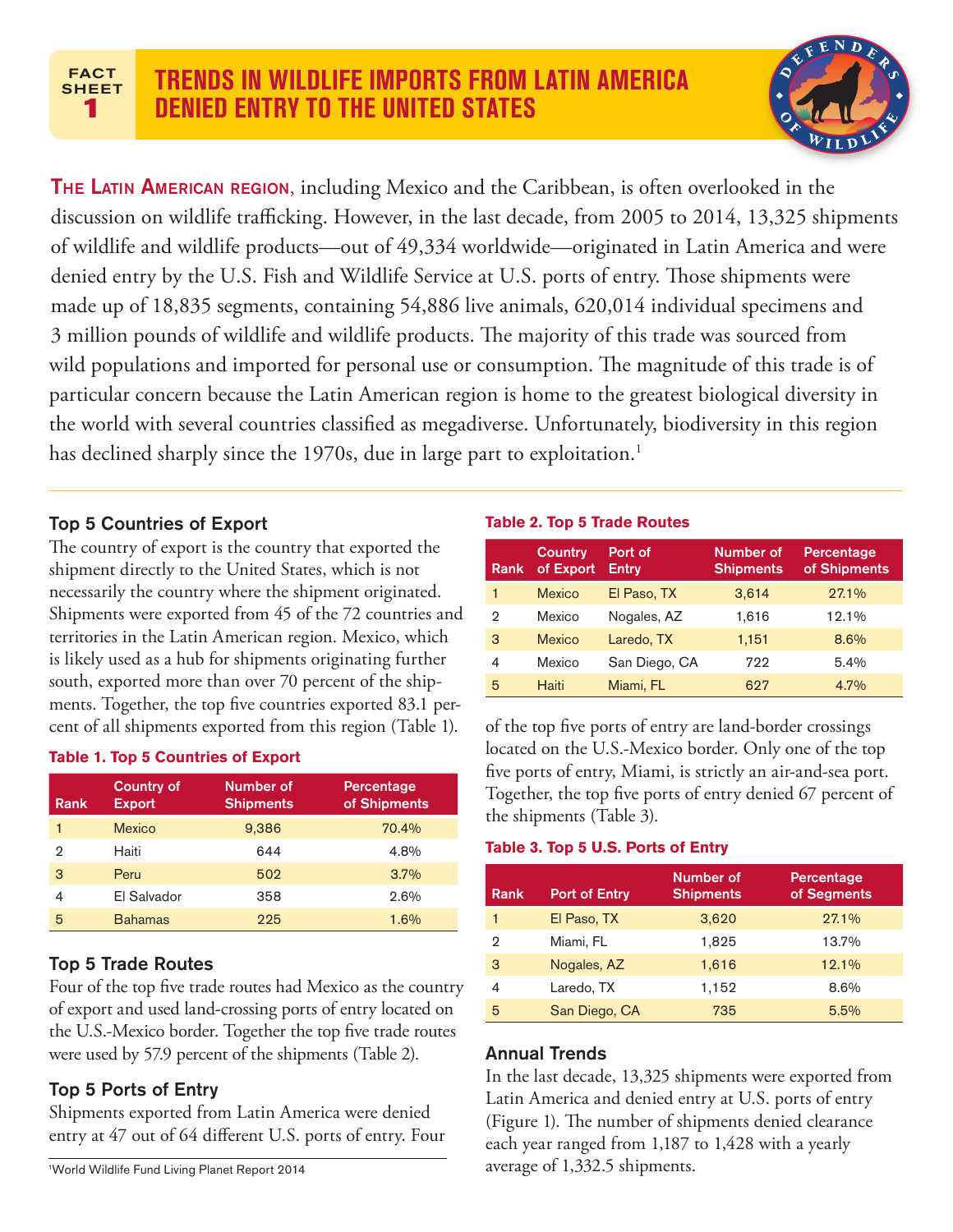### **FACT SHEET 1**



**THE LATIN AMERICAN REGION, including Mexico and the Caribbean, is often overlooked in the** discussion on wildlife trafficking. However, in the last decade, from 2005 to 2014, 13,325 shipments of wildlife and wildlife products—out of 49,334 worldwide—originated in Latin America and were denied entry by the U.S. Fish and Wildlife Service at U.S. ports of entry. Those shipments were made up of 18,835 segments, containing 54,886 live animals, 620,014 individual specimens and 3 million pounds of wildlife and wildlife products. The majority of this trade was sourced from wild populations and imported for personal use or consumption. The magnitude of this trade is of particular concern because the Latin American region is home to the greatest biological diversity in the world with several countries classified as megadiverse. Unfortunately, biodiversity in this region has declined sharply since the 1970s, due in large part to exploitation.<sup>1</sup>

## Top 5 Countries of Export

The country of export is the country that exported the shipment directly to the United States, which is not necessarily the country where the shipment originated. Shipments were exported from 45 of the 72 countries and territories in the Latin American region. Mexico, which is likely used as a hub for shipments originating further south, exported more than over 70 percent of the shipments. Together, the top five countries exported 83.1 percent of all shipments exported from this region (Table 1).

### **Table 1. Top 5 Countries of Export**

| Rank | <b>Country of</b><br><b>Export</b> | Number of<br><b>Shipments</b> | Percentage<br>of Shipments |
|------|------------------------------------|-------------------------------|----------------------------|
|      | <b>Mexico</b>                      | 9,386                         | 70.4%                      |
| 2    | Haiti                              | 644                           | 4.8%                       |
| 3    | Peru                               | 502                           | 3.7%                       |
| 4    | El Salvador                        | 358                           | 2.6%                       |
| 5    | <b>Bahamas</b>                     | 225                           | 1.6%                       |

### Top 5 Trade Routes

Four of the top five trade routes had Mexico as the country of export and used land-crossing ports of entry located on the U.S.-Mexico border. Together the top five trade routes were used by 57.9 percent of the shipments (Table 2).

## Top 5 Ports of Entry

Shipments exported from Latin America were denied entry at 47 out of 64 different U.S. ports of entry. Four

#### **Table 2. Top 5 Trade Routes**

| Rank | <b>Country</b><br>of Export | Port of<br><b>Entry</b> | Number of<br><b>Shipments</b> | <b>Percentage</b><br>of Shipments |
|------|-----------------------------|-------------------------|-------------------------------|-----------------------------------|
| 1    | <b>Mexico</b>               | El Paso, TX             | 3,614                         | 27.1%                             |
| 2    | Mexico                      | Nogales, AZ             | 1,616                         | 12.1%                             |
| 3    | <b>Mexico</b>               | Laredo, TX              | 1,151                         | 8.6%                              |
| 4    | Mexico                      | San Diego, CA           | 722                           | 5.4%                              |
| 5    | Haiti                       | Miami, FL               | 627                           | 4.7%                              |

of the top five ports of entry are land-border crossings located on the U.S.-Mexico border. Only one of the top five ports of entry, Miami, is strictly an air-and-sea port. Together, the top five ports of entry denied 67 percent of the shipments (Table 3).

### **Table 3. Top 5 U.S. Ports of Entry**

| Rank | <b>Port of Entry</b> | Number of<br><b>Shipments</b> | Percentage<br>of Segments |
|------|----------------------|-------------------------------|---------------------------|
|      | El Paso, TX          | 3,620                         | 27.1%                     |
| 2    | Miami, FL            | 1,825                         | 13.7%                     |
| 3    | Nogales, AZ          | 1,616                         | 12.1%                     |
| 4    | Laredo, TX           | 1,152                         | 8.6%                      |
| 5    | San Diego, CA        | 735                           | 5.5%                      |

### Annual Trends

In the last decade, 13,325 shipments were exported from Latin America and denied entry at U.S. ports of entry (Figure 1). The number of shipments denied clearance each year ranged from 1,187 to 1,428 with a yearly average of 1,332.5 shipments.